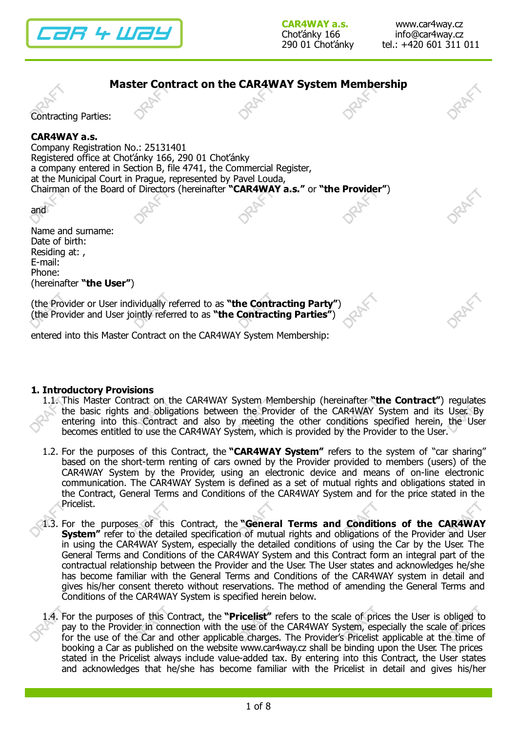



entered into this Master Contract on the CAR4WAY System Membership:

## 1. Introductory Provisions

- 1.1. This Master Contract on the CAR4WAY System Membership (hereinafter "the Contract") regulates the basic rights and obligations between the Provider of the CAR4WAY System and its User. By entering into this Contract and also by meeting the other conditions specified herein, the User becomes entitled to use the CAR4WAY System, which is provided by the Provider to the User.
- 1.2. For the purposes of this Contract, the "CAR4WAY System" refers to the system of "car sharing" based on the short-term renting of cars owned by the Provider provided to members (users) of the CAR4WAY System by the Provider, using an electronic device and means of on-line electronic communication. The CAR4WAY System is defined as a set of mutual rights and obligations stated in the Contract, General Terms and Conditions of the CAR4WAY System and for the price stated in the Pricelist.
- 1.3. For the purposes of this Contract, the "General Terms and Conditions of the CAR4WAY **System"** refer to the detailed specification of mutual rights and obligations of the Provider and User in using the CAR4WAY System, especially the detailed conditions of using the Car by the User. The General Terms and Conditions of the CAR4WAY System and this Contract form an integral part of the contractual relationship between the Provider and the User. The User states and acknowledges he/she has become familiar with the General Terms and Conditions of the CAR4WAY system in detail and gives his/her consent thereto without reservations. The method of amending the General Terms and Conditions of the CAR4WAY System is specified herein below.
- 1.4. For the purposes of this Contract, the "Pricelist" refers to the scale of prices the User is obliged to pay to the Provider in connection with the use of the CAR4WAY System, especially the scale of prices for the use of the Car and other applicable charges. The Provider's Pricelist applicable at the time of booking a Car as published on the website www.car4way.cz shall be binding upon the User. The prices stated in the Pricelist always include value-added tax. By entering into this Contract, the User states and acknowledges that he/she has become familiar with the Pricelist in detail and gives his/her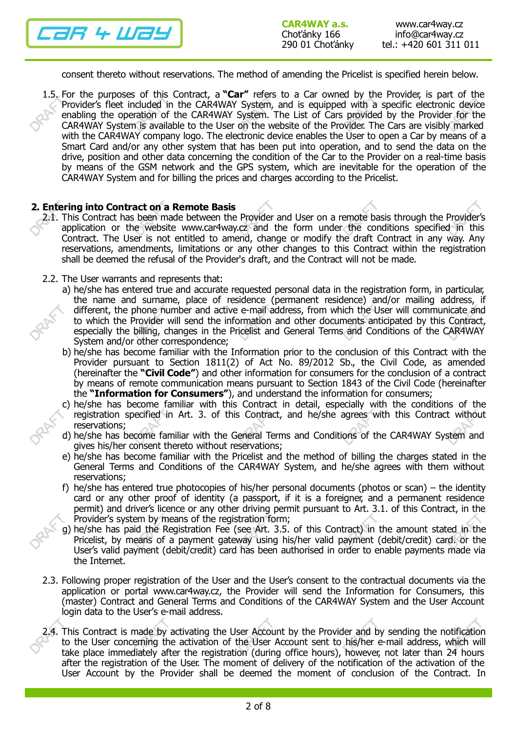

consent thereto without reservations. The method of amending the Pricelist is specified herein below.

1.5. For the purposes of this Contract, a "Car" refers to a Car owned by the Provider, is part of the Provider's fleet included in the CAR4WAY System, and is equipped with a specific electronic device enabling the operation of the CAR4WAY System. The List of Cars provided by the Provider for the CAR4WAY System is available to the User on the website of the Provider. The Cars are visibly marked with the CAR4WAY company logo. The electronic device enables the User to open a Car by means of a Smart Card and/or any other system that has been put into operation, and to send the data on the drive, position and other data concerning the condition of the Car to the Provider on a real-time basis by means of the GSM network and the GPS system, which are inevitable for the operation of the CAR4WAY System and for billing the prices and charges according to the Pricelist.

## 2. Entering into Contract on a Remote Basis

- 2.1. This Contract has been made between the Provider and User on a remote basis through the Provider's application or the website www.car4way.cz and the form under the conditions specified in this Contract. The User is not entitled to amend, change or modify the draft Contract in any way. Any reservations, amendments, limitations or any other changes to this Contract within the registration shall be deemed the refusal of the Provider's draft, and the Contract will not be made.
- 2.2. The User warrants and represents that:
	- a) he/she has entered true and accurate requested personal data in the registration form, in particular, the name and surname, place of residence (permanent residence) and/or mailing address, if different, the phone number and active e-mail address, from which the User will communicate and to which the Provider will send the information and other documents anticipated by this Contract, especially the billing, changes in the Pricelist and General Terms and Conditions of the CAR4WAY System and/or other correspondence;
	- b) he/she has become familiar with the Information prior to the conclusion of this Contract with the Provider pursuant to Section 1811(2) of Act No. 89/2012 Sb., the Civil Code, as amended (hereinafter the "Civil Code") and other information for consumers for the conclusion of a contract by means of remote communication means pursuant to Section 1843 of the Civil Code (hereinafter the "Information for Consumers"), and understand the information for consumers;
	- c) he/she has become familiar with this Contract in detail, especially with the conditions of the registration specified in Art. 3. of this Contract, and he/she agrees with this Contract without reservations;
	- d) he/she has become familiar with the General Terms and Conditions of the CAR4WAY System and gives his/her consent thereto without reservations;
	- e) he/she has become familiar with the Pricelist and the method of billing the charges stated in the General Terms and Conditions of the CAR4WAY System, and he/she agrees with them without reservations;
	- f) he/she has entered true photocopies of his/her personal documents (photos or scan) the identity card or any other proof of identity (a passport, if it is a foreigner, and a permanent residence permit) and driver's licence or any other driving permit pursuant to Art. 3.1. of this Contract, in the Provider's system by means of the registration form;
	- g) he/she has paid the Registration Fee (see Art. 3.5. of this Contract) in the amount stated in the Pricelist, by means of a payment gateway using his/her valid payment (debit/credit) card. or the User's valid payment (debit/credit) card has been authorised in order to enable payments made via the Internet.
- 2.3. Following proper registration of the User and the User's consent to the contractual documents via the application or portal www.car4way.cz, the Provider will send the Information for Consumers, this (master) Contract and General Terms and Conditions of the CAR4WAY System and the User Account login data to the User's e-mail address.
- 2.4. This Contract is made by activating the User Account by the Provider and by sending the notification to the User concerning the activation of the User Account sent to his/her e-mail address, which will take place immediately after the registration (during office hours), however, not later than 24 hours after the registration of the User. The moment of delivery of the notification of the activation of the User Account by the Provider shall be deemed the moment of conclusion of the Contract. In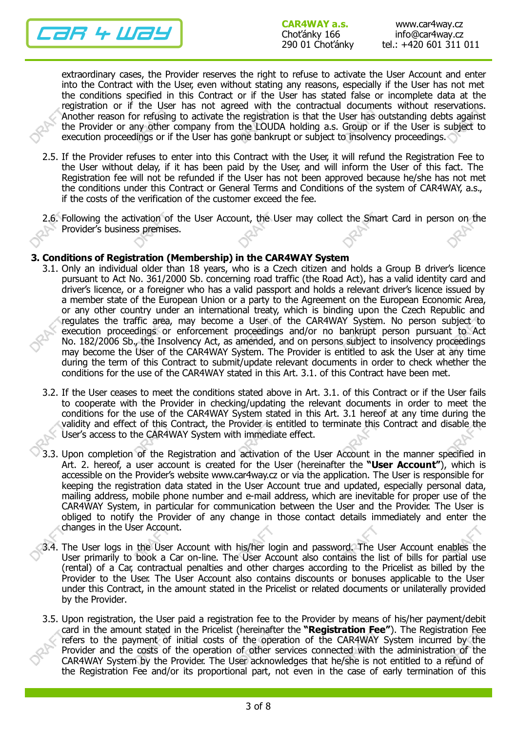

extraordinary cases, the Provider reserves the right to refuse to activate the User Account and enter into the Contract with the User, even without stating any reasons, especially if the User has not met the conditions specified in this Contract or if the User has stated false or incomplete data at the registration or if the User has not agreed with the contractual documents without reservations. Another reason for refusing to activate the registration is that the User has outstanding debts against the Provider or any other company from the LOUDA holding a.s. Group or if the User is subject to execution proceedings or if the User has gone bankrupt or subject to insolvency proceedings.

- 2.5. If the Provider refuses to enter into this Contract with the User, it will refund the Registration Fee to the User without delay, if it has been paid by the User, and will inform the User of this fact. The Registration fee will not be refunded if the User has not been approved because he/she has not met the conditions under this Contract or General Terms and Conditions of the system of CAR4WAY, a.s., if the costs of the verification of the customer exceed the fee.
- 2.6. Following the activation of the User Account, the User may collect the Smart Card in person on the Provider's business premises.

## 3. Conditions of Registration (Membership) in the CAR4WAY System

- 3.1. Only an individual older than 18 years, who is a Czech citizen and holds a Group B driver's licence pursuant to Act No. 361/2000 Sb. concerning road traffic (the Road Act), has a valid identity card and driver's licence, or a foreigner who has a valid passport and holds a relevant driver's licence issued by a member state of the European Union or a party to the Agreement on the European Economic Area, or any other country under an international treaty, which is binding upon the Czech Republic and regulates the traffic area, may become a User of the CAR4WAY System. No person subject to execution proceedings or enforcement proceedings and/or no bankrupt person pursuant to Act No. 182/2006 Sb., the Insolvency Act, as amended, and on persons subject to insolvency proceedings may become the User of the CAR4WAY System. The Provider is entitled to ask the User at any time during the term of this Contract to submit/update relevant documents in order to check whether the conditions for the use of the CAR4WAY stated in this Art. 3.1. of this Contract have been met.
- 3.2. If the User ceases to meet the conditions stated above in Art. 3.1. of this Contract or if the User fails to cooperate with the Provider in checking/updating the relevant documents in order to meet the conditions for the use of the CAR4WAY System stated in this Art. 3.1 hereof at any time during the validity and effect of this Contract, the Provider is entitled to terminate this Contract and disable the User's access to the CAR4WAY System with immediate effect.
- 3.3. Upon completion of the Registration and activation of the User Account in the manner specified in Art. 2. hereof, a user account is created for the User (hereinafter the "User Account"), which is accessible on the Provider's website www.car4way.cz or via the application. The User is responsible for keeping the registration data stated in the User Account true and updated, especially personal data, mailing address, mobile phone number and e-mail address, which are inevitable for proper use of the CAR4WAY System, in particular for communication between the User and the Provider. The User is obliged to notify the Provider of any change in those contact details immediately and enter the changes in the User Account.
- 3.4. The User logs in the User Account with his/her login and password. The User Account enables the User primarily to book a Car on-line. The User Account also contains the list of bills for partial use (rental) of a Car, contractual penalties and other charges according to the Pricelist as billed by the Provider to the User. The User Account also contains discounts or bonuses applicable to the User under this Contract, in the amount stated in the Pricelist or related documents or unilaterally provided by the Provider.
- 3.5. Upon registration, the User paid a registration fee to the Provider by means of his/her payment/debit card in the amount stated in the Pricelist (hereinafter the "Registration Fee"). The Registration Fee refers to the payment of initial costs of the operation of the CAR4WAY System incurred by the Provider and the costs of the operation of other services connected with the administration of the CAR4WAY System by the Provider. The User acknowledges that he/she is not entitled to a refund of the Registration Fee and/or its proportional part, not even in the case of early termination of this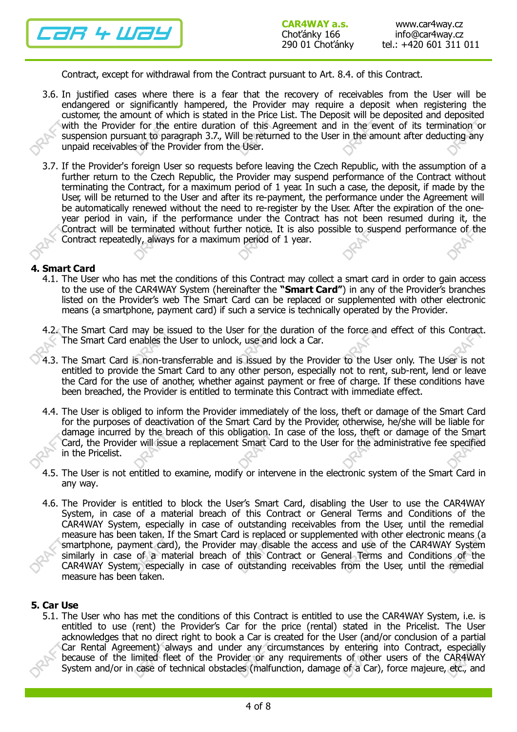

Contract, except for withdrawal from the Contract pursuant to Art. 8.4. of this Contract.

- 3.6. In justified cases where there is a fear that the recovery of receivables from the User will be endangered or significantly hampered, the Provider may require a deposit when registering the customer, the amount of which is stated in the Price List. The Deposit will be deposited and deposited with the Provider for the entire duration of this Agreement and in the event of its termination or suspension pursuant to paragraph 3.7., Will be returned to the User in the amount after deducting any unpaid receivables of the Provider from the User.
- 3.7. If the Provider's foreign User so requests before leaving the Czech Republic, with the assumption of a further return to the Czech Republic, the Provider may suspend performance of the Contract without terminating the Contract, for a maximum period of 1 year. In such a case, the deposit, if made by the User, will be returned to the User and after its re-payment, the performance under the Agreement will be automatically renewed without the need to re-register by the User. After the expiration of the oneyear period in vain, if the performance under the Contract has not been resumed during it, the Contract will be terminated without further notice. It is also possible to suspend performance of the Contract repeatedly, always for a maximum period of 1 year.

#### 4. Smart Card

- 4.1. The User who has met the conditions of this Contract may collect a smart card in order to gain access to the use of the CAR4WAY System (hereinafter the "Smart Card") in any of the Provider's branches listed on the Provider's web The Smart Card can be replaced or supplemented with other electronic means (a smartphone, payment card) if such a service is technically operated by the Provider.
- 4.2. The Smart Card may be issued to the User for the duration of the force and effect of this Contract. The Smart Card enables the User to unlock, use and lock a Car.
- 4.3. The Smart Card is non-transferrable and is issued by the Provider to the User only. The User is not entitled to provide the Smart Card to any other person, especially not to rent, sub-rent, lend or leave the Card for the use of another, whether against payment or free of charge. If these conditions have been breached, the Provider is entitled to terminate this Contract with immediate effect.
- 4.4. The User is obliged to inform the Provider immediately of the loss, theft or damage of the Smart Card for the purposes of deactivation of the Smart Card by the Provider, otherwise, he/she will be liable for damage incurred by the breach of this obligation. In case of the loss, theft or damage of the Smart Card, the Provider will issue a replacement Smart Card to the User for the administrative fee specified in the Pricelist.
- 4.5. The User is not entitled to examine, modify or intervene in the electronic system of the Smart Card in any way.
- 4.6. The Provider is entitled to block the User's Smart Card, disabling the User to use the CAR4WAY System, in case of a material breach of this Contract or General Terms and Conditions of the CAR4WAY System, especially in case of outstanding receivables from the User, until the remedial measure has been taken. If the Smart Card is replaced or supplemented with other electronic means (a smartphone, payment card), the Provider may disable the access and use of the CAR4WAY System similarly in case of a material breach of this Contract or General Terms and Conditions of the CAR4WAY System, especially in case of outstanding receivables from the User, until the remedial measure has been taken.

#### 5. Car Use

5.1. The User who has met the conditions of this Contract is entitled to use the CAR4WAY System, i.e. is entitled to use (rent) the Provider's Car for the price (rental) stated in the Pricelist. The User acknowledges that no direct right to book a Car is created for the User (and/or conclusion of a partial Car Rental Agreement) always and under any circumstances by entering into Contract, especially because of the limited fleet of the Provider or any requirements of other users of the CAR4WAY System and/or in case of technical obstacles (malfunction, damage of a Car), force majeure, etc., and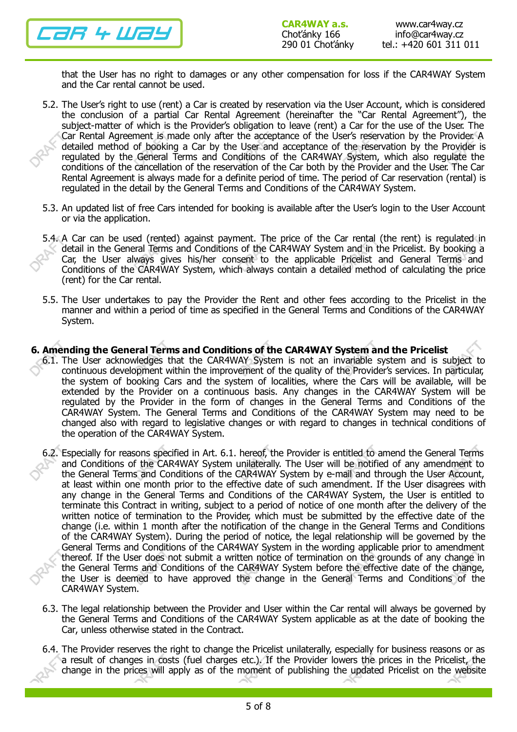

- that the User has no right to damages or any other compensation for loss if the CAR4WAY System and the Car rental cannot be used.
- 5.2. The User's right to use (rent) a Car is created by reservation via the User Account, which is considered the conclusion of a partial Car Rental Agreement (hereinafter the "Car Rental Agreement"), the subject-matter of which is the Provider's obligation to leave (rent) a Car for the use of the User. The Car Rental Agreement is made only after the acceptance of the User's reservation by the Provider. A detailed method of booking a Car by the User and acceptance of the reservation by the Provider is regulated by the General Terms and Conditions of the CAR4WAY System, which also regulate the conditions of the cancellation of the reservation of the Car both by the Provider and the User. The Car Rental Agreement is always made for a definite period of time. The period of Car reservation (rental) is regulated in the detail by the General Terms and Conditions of the CAR4WAY System.
- 5.3. An updated list of free Cars intended for booking is available after the User's login to the User Account or via the application.
- 5.4. A Car can be used (rented) against payment. The price of the Car rental (the rent) is regulated in detail in the General Terms and Conditions of the CAR4WAY System and in the Pricelist. By booking a Car, the User always gives his/her consent to the applicable Pricelist and General Terms and Conditions of the CAR4WAY System, which always contain a detailed method of calculating the price (rent) for the Car rental.
- 5.5. The User undertakes to pay the Provider the Rent and other fees according to the Pricelist in the manner and within a period of time as specified in the General Terms and Conditions of the CAR4WAY System.

## 6. Amending the General Terms and Conditions of the CAR4WAY System and the Pricelist

- 6.1. The User acknowledges that the CAR4WAY System is not an invariable system and is subject to continuous development within the improvement of the quality of the Provider's services. In particular, the system of booking Cars and the system of localities, where the Cars will be available, will be extended by the Provider on a continuous basis. Any changes in the CAR4WAY System will be regulated by the Provider in the form of changes in the General Terms and Conditions of the CAR4WAY System. The General Terms and Conditions of the CAR4WAY System may need to be changed also with regard to legislative changes or with regard to changes in technical conditions of the operation of the CAR4WAY System.
- 6.2. Especially for reasons specified in Art. 6.1. hereof, the Provider is entitled to amend the General Terms and Conditions of the CAR4WAY System unilaterally. The User will be notified of any amendment to the General Terms and Conditions of the CAR4WAY System by e-mail and through the User Account, at least within one month prior to the effective date of such amendment. If the User disagrees with any change in the General Terms and Conditions of the CAR4WAY System, the User is entitled to terminate this Contract in writing, subject to a period of notice of one month after the delivery of the written notice of termination to the Provider, which must be submitted by the effective date of the change (i.e. within 1 month after the notification of the change in the General Terms and Conditions of the CAR4WAY System). During the period of notice, the legal relationship will be governed by the General Terms and Conditions of the CAR4WAY System in the wording applicable prior to amendment thereof. If the User does not submit a written notice of termination on the grounds of any change in the General Terms and Conditions of the CAR4WAY System before the effective date of the change, the User is deemed to have approved the change in the General Terms and Conditions of the CAR4WAY System.
- 6.3. The legal relationship between the Provider and User within the Car rental will always be governed by the General Terms and Conditions of the CAR4WAY System applicable as at the date of booking the Car, unless otherwise stated in the Contract.
- 6.4. The Provider reserves the right to change the Pricelist unilaterally, especially for business reasons or as a result of changes in costs (fuel charges etc.). If the Provider lowers the prices in the Pricelist, the change in the prices will apply as of the moment of publishing the updated Pricelist on the website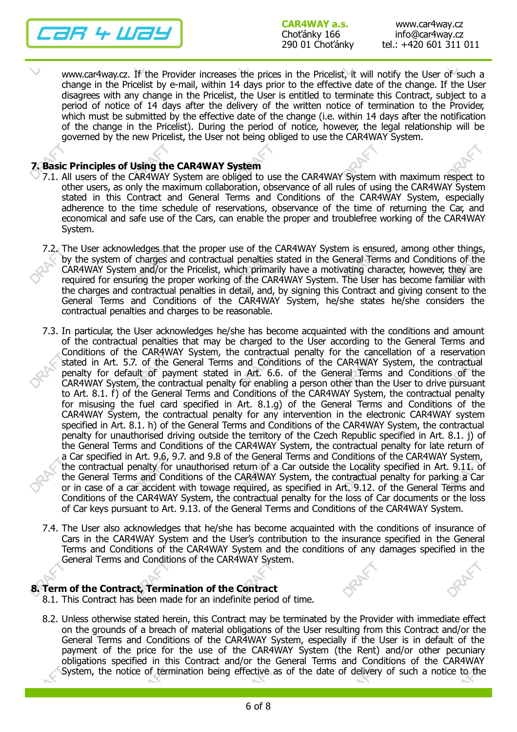26 4 W29

www.car4way.cz. If the Provider increases the prices in the Pricelist, it will notify the User of such a change in the Pricelist by e-mail, within 14 days prior to the effective date of the change. If the User disagrees with any change in the Pricelist, the User is entitled to terminate this Contract, subject to a period of notice of 14 days after the delivery of the written notice of termination to the Provider, which must be submitted by the effective date of the change (i.e. within 14 days after the notification of the change in the Pricelist). During the period of notice, however, the legal relationship will be governed by the new Pricelist, the User not being obliged to use the CAR4WAY System.

## 7. Basic Principles of Using the CAR4WAY System

- 7.1. All users of the CAR4WAY System are obliged to use the CAR4WAY System with maximum respect to other users, as only the maximum collaboration, observance of all rules of using the CAR4WAY System stated in this Contract and General Terms and Conditions of the CAR4WAY System, especially adherence to the time schedule of reservations, observance of the time of returning the Car, and economical and safe use of the Cars, can enable the proper and troublefree working of the CAR4WAY System.
- 7.2. The User acknowledges that the proper use of the CAR4WAY System is ensured, among other things, by the system of charges and contractual penalties stated in the General Terms and Conditions of the CAR4WAY System and/or the Pricelist, which primarily have a motivating character, however, they are required for ensuring the proper working of the CAR4WAY System. The User has become familiar with the charges and contractual penalties in detail, and, by signing this Contract and giving consent to the General Terms and Conditions of the CAR4WAY System, he/she states he/she considers the contractual penalties and charges to be reasonable.
- 7.3. In particular, the User acknowledges he/she has become acquainted with the conditions and amount of the contractual penalties that may be charged to the User according to the General Terms and Conditions of the CAR4WAY System, the contractual penalty for the cancellation of a reservation stated in Art. 5.7. of the General Terms and Conditions of the CAR4WAY System, the contractual penalty for default of payment stated in Art. 6.6. of the General Terms and Conditions of the CAR4WAY System, the contractual penalty for enabling a person other than the User to drive pursuant to Art. 8.1. f) of the General Terms and Conditions of the CAR4WAY System, the contractual penalty for misusing the fuel card specified in Art. 8.1.g) of the General Terms and Conditions of the CAR4WAY System, the contractual penalty for any intervention in the electronic CAR4WAY system specified in Art. 8.1. h) of the General Terms and Conditions of the CAR4WAY System, the contractual penalty for unauthorised driving outside the territory of the Czech Republic specified in Art. 8.1. j) of the General Terms and Conditions of the CAR4WAY System, the contractual penalty for late return of a Car specified in Art. 9.6, 9.7. and 9.8 of the General Terms and Conditions of the CAR4WAY System, the contractual penalty for unauthorised return of a Car outside the Locality specified in Art. 9.11. of the General Terms and Conditions of the CAR4WAY System, the contractual penalty for parking a Car or in case of a car accident with towage required, as specified in Art. 9.12. of the General Terms and Conditions of the CAR4WAY System, the contractual penalty for the loss of Car documents or the loss of Car keys pursuant to Art. 9.13. of the General Terms and Conditions of the CAR4WAY System.
- 7.4. The User also acknowledges that he/she has become acquainted with the conditions of insurance of Cars in the CAR4WAY System and the User's contribution to the insurance specified in the General Terms and Conditions of the CAR4WAY System and the conditions of any damages specified in the General Terms and Conditions of the CAR4WAY System.

# 8. Term of the Contract, Termination of the Contract

- 8.1. This Contract has been made for an indefinite period of time.
- 8.2. Unless otherwise stated herein, this Contract may be terminated by the Provider with immediate effect on the grounds of a breach of material obligations of the User resulting from this Contract and/or the General Terms and Conditions of the CAR4WAY System, especially if the User is in default of the payment of the price for the use of the CAR4WAY System (the Rent) and/or other pecuniary obligations specified in this Contract and/or the General Terms and Conditions of the CAR4WAY System, the notice of termination being effective as of the date of delivery of such a notice to the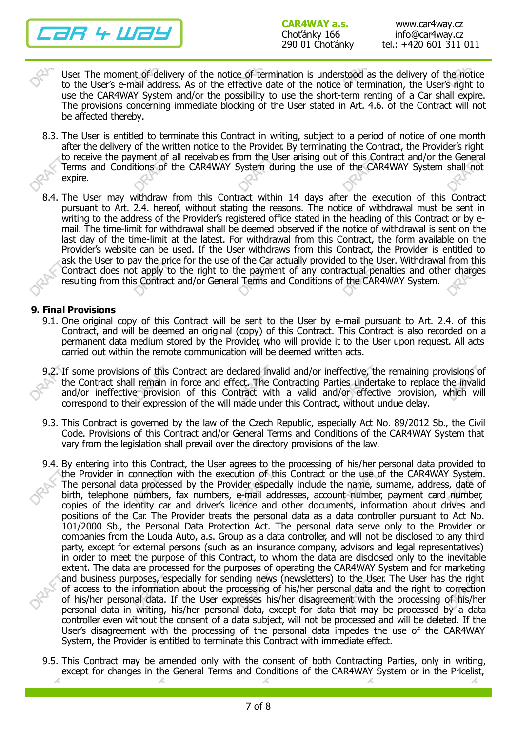7R 4 Way

User. The moment of delivery of the notice of termination is understood as the delivery of the notice to the User's e-mail address. As of the effective date of the notice of termination, the User's right to use the CAR4WAY System and/or the possibility to use the short-term renting of a Car shall expire. The provisions concerning immediate blocking of the User stated in Art. 4.6. of the Contract will not be affected thereby.

- 8.3. The User is entitled to terminate this Contract in writing, subject to a period of notice of one month after the delivery of the written notice to the Provider. By terminating the Contract, the Provider's right to receive the payment of all receivables from the User arising out of this Contract and/or the General Terms and Conditions of the CAR4WAY System during the use of the CAR4WAY System shall not expire.
- 8.4. The User may withdraw from this Contract within 14 days after the execution of this Contract pursuant to Art. 2.4. hereof, without stating the reasons. The notice of withdrawal must be sent in writing to the address of the Provider's registered office stated in the heading of this Contract or by email. The time-limit for withdrawal shall be deemed observed if the notice of withdrawal is sent on the last day of the time-limit at the latest. For withdrawal from this Contract, the form available on the Provider's website can be used. If the User withdraws from this Contract, the Provider is entitled to ask the User to pay the price for the use of the Car actually provided to the User. Withdrawal from this Contract does not apply to the right to the payment of any contractual penalties and other charges resulting from this Contract and/or General Terms and Conditions of the CAR4WAY System.

# 9. Final Provisions

- 9.1. One original copy of this Contract will be sent to the User by e-mail pursuant to Art. 2.4. of this Contract, and will be deemed an original (copy) of this Contract. This Contract is also recorded on a permanent data medium stored by the Provider, who will provide it to the User upon request. All acts carried out within the remote communication will be deemed written acts.
- 9.2. If some provisions of this Contract are declared invalid and/or ineffective, the remaining provisions of the Contract shall remain in force and effect. The Contracting Parties undertake to replace the invalid and/or ineffective provision of this Contract with a valid and/or effective provision, which will correspond to their expression of the will made under this Contract, without undue delay.
- 9.3. This Contract is governed by the law of the Czech Republic, especially Act No. 89/2012 Sb., the Civil Code. Provisions of this Contract and/or General Terms and Conditions of the CAR4WAY System that vary from the legislation shall prevail over the directory provisions of the law.
- 9.4. By entering into this Contract, the User agrees to the processing of his/her personal data provided to the Provider in connection with the execution of this Contract or the use of the CAR4WAY System. The personal data processed by the Provider especially include the name, surname, address, date of birth, telephone numbers, fax numbers, e-mail addresses, account number, payment card number, copies of the identity car and driver's licence and other documents, information about drives and positions of the Car. The Provider treats the personal data as a data controller pursuant to Act No. 101/2000 Sb., the Personal Data Protection Act. The personal data serve only to the Provider or companies from the Louda Auto, a.s. Group as a data controller, and will not be disclosed to any third party, except for external persons (such as an insurance company, advisors and legal representatives) in order to meet the purpose of this Contract, to whom the data are disclosed only to the inevitable extent. The data are processed for the purposes of operating the CAR4WAY System and for marketing and business purposes, especially for sending news (newsletters) to the User. The User has the right of access to the information about the processing of his/her personal data and the right to correction of his/her personal data. If the User expresses his/her disagreement with the processing of his/her personal data in writing, his/her personal data, except for data that may be processed by a data controller even without the consent of a data subject, will not be processed and will be deleted. If the User's disagreement with the processing of the personal data impedes the use of the CAR4WAY System, the Provider is entitled to terminate this Contract with immediate effect.
- 9.5. This Contract may be amended only with the consent of both Contracting Parties, only in writing, except for changes in the General Terms and Conditions of the CAR4WAY System or in the Pricelist,